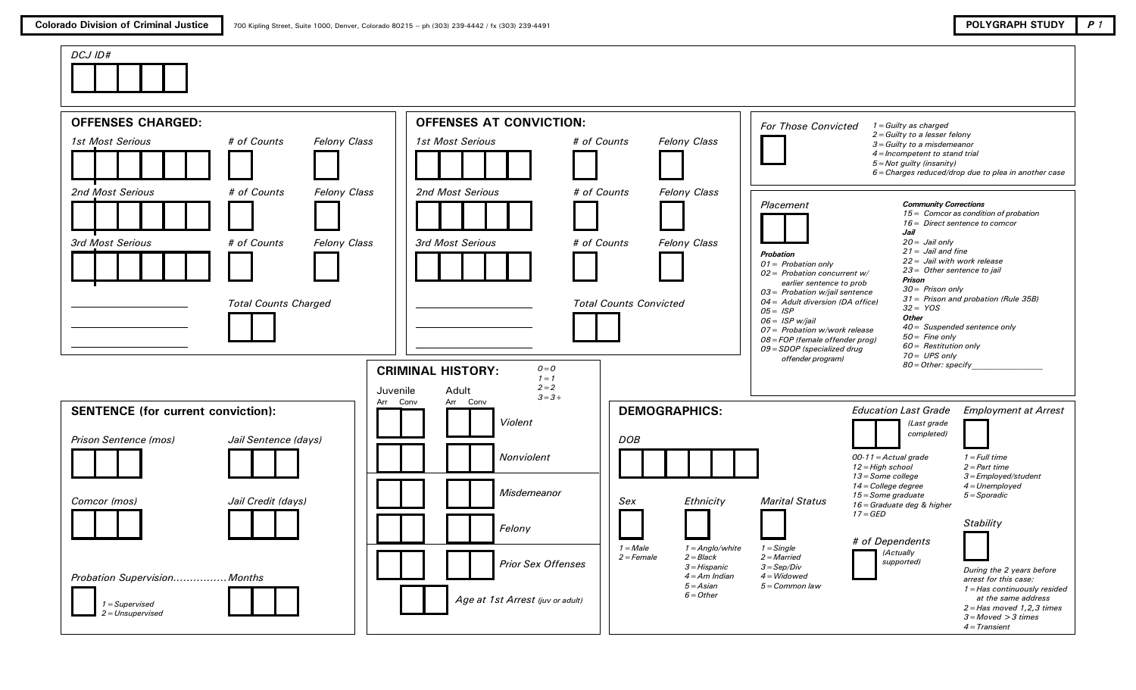

| <b>OFFENSES CHARGED:</b>                                               |                                                           |                                     | <b>OFFENSES AT CONVICTION:</b>                                                  |                                                             |                                                                                 | <b>For Those Convicted</b>                                                                                                                                                                                                                                       | $1 =$ Guilty as charged                                                                                                                                                                                        |                                                                                                                                                                                      |
|------------------------------------------------------------------------|-----------------------------------------------------------|-------------------------------------|---------------------------------------------------------------------------------|-------------------------------------------------------------|---------------------------------------------------------------------------------|------------------------------------------------------------------------------------------------------------------------------------------------------------------------------------------------------------------------------------------------------------------|----------------------------------------------------------------------------------------------------------------------------------------------------------------------------------------------------------------|--------------------------------------------------------------------------------------------------------------------------------------------------------------------------------------|
| 1st Most Serious                                                       | # of Counts                                               | <b>Felony Class</b>                 | 1st Most Serious                                                                | # of Counts                                                 | <b>Felony Class</b>                                                             |                                                                                                                                                                                                                                                                  | $2 =$ Guilty to a lesser felony<br>$3 =$ Guilty to a misdemeanor<br>4 = Incompetent to stand trial<br>$5 = Not$ guilty (insanity)                                                                              | $6 =$ Charges reduced/drop due to plea in another case                                                                                                                               |
| 2nd Most Serious<br>3rd Most Serious                                   | # of Counts<br># of Counts<br><b>Total Counts Charged</b> | <b>Felony Class</b><br>Felony Class | 2nd Most Serious<br><b>3rd Most Serious</b>                                     | # of Counts<br># of Counts<br><b>Total Counts Convicted</b> | <b>Felony Class</b><br>Felony Class                                             | Placement<br><b>Probation</b><br>$01 =$ Probation only<br>$02 =$ Probation concurrent w/<br>earlier sentence to prob<br>$03$ = Probation w/jail sentence<br>04 = Adult diversion (DA office)<br>$05 = ISP$<br>$06 =$ ISP w/jail<br>07 = Probation w/work release | <b>Community Corrections</b><br>Jail<br>$20 =$ Jail only<br>$21 =$ Jail and fine<br>$22 =$ Jail with work release<br>23 = Other sentence to jail<br>Prison<br>$30 =$ Prison only<br>$32 = YOS$<br><b>Other</b> | $15 =$ Comcor as condition of probation<br>16 = Direct sentence to comcor<br>31 = Prison and probation (Rule 35B)<br>$40 =$ Suspended sentence only                                  |
|                                                                        |                                                           | Juvenile                            | <b>CRIMINAL HISTORY:</b><br>$Q = Q$<br>$1 = 1$<br>$2 = 2$<br>Adult<br>$3 = 3 +$ |                                                             |                                                                                 | 08 = FOP (female offender prog)<br>09 = SDOP (specialized drug<br>offender program)                                                                                                                                                                              | $50 =$ Fine only<br>$60$ = Restitution only<br>$70 = UPS$ only<br>80 = Other: specify                                                                                                                          |                                                                                                                                                                                      |
| <b>SENTENCE</b> (for current conviction):<br>Prison Sentence (mos)     | Jail Sentence (days)                                      | Arr Conv                            | Arr Conv<br>Violent                                                             | <b>DOB</b>                                                  | <b>DEMOGRAPHICS:</b>                                                            |                                                                                                                                                                                                                                                                  | <b>Education Last Grade</b><br>(Last grade<br>completed)                                                                                                                                                       | <b>Employment at Arrest</b>                                                                                                                                                          |
|                                                                        |                                                           |                                     | Nonviolent<br>Misdemeanor                                                       |                                                             |                                                                                 |                                                                                                                                                                                                                                                                  | $00-11 =$ Actual grade<br>$12 = High school$<br>13 = Some college<br>$14$ = College degree<br>$15 = Some$ graduate                                                                                             | $1 = Full time$<br>$2 = Part$ time<br>$3 =$ Employed/student<br>$4 = Unemployed$<br>$5 =$ Sporadic                                                                                   |
| Comcor (mos)                                                           | Jail Credit (days)                                        |                                     | Felony                                                                          | Sex<br>$1 = Male$                                           | Ethnicity<br>$1 =$ Anglo/white                                                  | <b>Marital Status</b><br>$1 =$ Single                                                                                                                                                                                                                            | 16 = Graduate deg & higher<br>$17 = GED$<br># of Dependents                                                                                                                                                    | Stability                                                                                                                                                                            |
| Probation Supervision Months<br>$1 = Supervised$<br>$2 = Unsupervised$ |                                                           |                                     | <b>Prior Sex Offenses</b><br>Age at 1st Arrest (juv or adult)                   | $2 = Female$                                                | $2 = Black$<br>$3 = H$ ispanic<br>$4 = Am$ Indian<br>$5 = Asian$<br>$6 = Other$ | $2 =$ Married<br>$3 = Sep/Div$<br>$4 = Widowed$<br>$5 = Common$ law                                                                                                                                                                                              | (Actually<br>supported)                                                                                                                                                                                        | During the 2 years before<br>arrest for this case:<br>1 = Has continuously resided<br>at the same address<br>$2 = Has$ moved 1,2,3 times<br>$3 = Moved > 3 times$<br>$4 = Transient$ |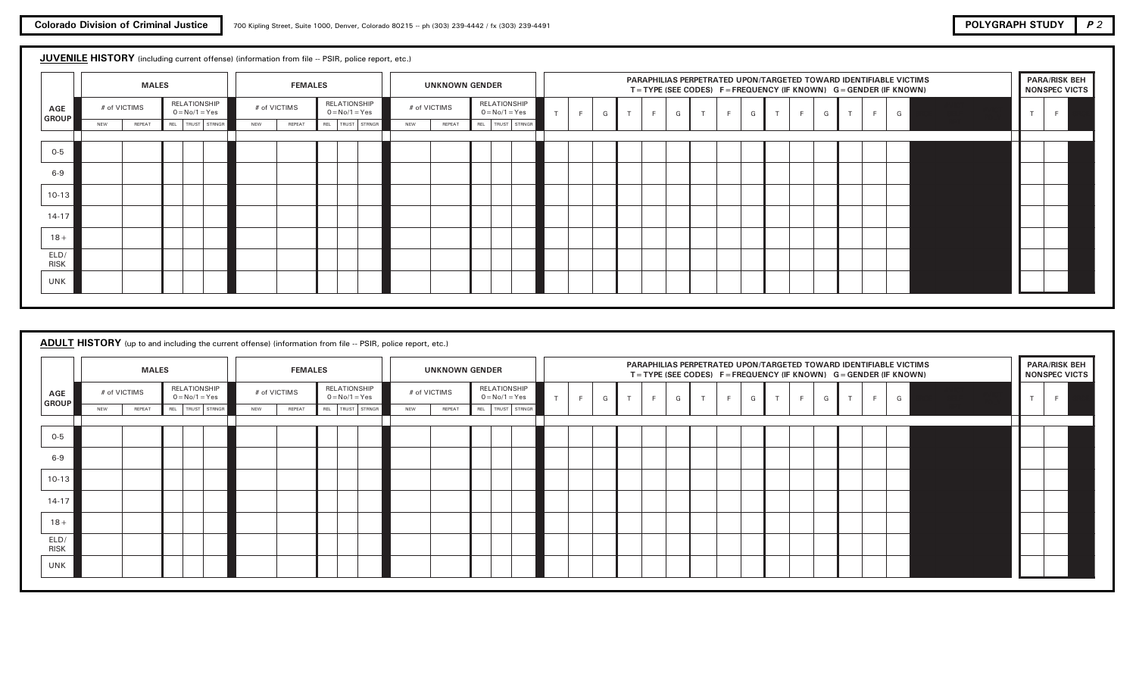## JUVENILE HISTORY (including current offense) (information from file -- PSIR, police report, etc.)

|                     |            | <b>MALES</b> |                                  |            | <b>FEMALES</b> |                                  |     | <b>UNKNOWN GENDER</b> |     |                                  |           |   |   |        |    |   |        |   |   | PARAPHILIAS PERPETRATED UPON/TARGETED TOWARD IDENTIFIABLE VICTIMS<br>$T = TYPE$ (SEE CODES) F = FREQUENCY (IF KNOWN) G = GENDER (IF KNOWN) |   |   |              |   |   | <b>PARA/RISK BEH</b><br>NONSPEC VICTS |
|---------------------|------------|--------------|----------------------------------|------------|----------------|----------------------------------|-----|-----------------------|-----|----------------------------------|-----------|---|---|--------|----|---|--------|---|---|--------------------------------------------------------------------------------------------------------------------------------------------|---|---|--------------|---|---|---------------------------------------|
| AGE<br><b>GROUP</b> |            | # of VICTIMS | RELATIONSHIP<br>$0 = No/1 = Yes$ |            | # of VICTIMS   | RELATIONSHIP<br>$0 = No/1 = Yes$ |     | # of VICTIMS          |     | RELATIONSHIP<br>$0 = No/1 = Yes$ | $\mathbf$ | F | G | $\tau$ | F. | G | $\tau$ | F | G | $\rightarrow$                                                                                                                              | F | G | $\mathsf{T}$ | F | G | $\mathbf{r}$                          |
|                     | <b>NEW</b> | REPEAT       | REL   TRUST   STRNGR             | <b>NEW</b> | REPEAT         | REL TRUST STRNGR                 | NEW | REPEAT                | REL | TRUST STRNGR                     |           |   |   |        |    |   |        |   |   |                                                                                                                                            |   |   |              |   |   |                                       |
| $0-5$               |            |              |                                  |            |                |                                  |     |                       |     |                                  |           |   |   |        |    |   |        |   |   |                                                                                                                                            |   |   |              |   |   |                                       |
| $6 - 9$             |            |              |                                  |            |                |                                  |     |                       |     |                                  |           |   |   |        |    |   |        |   |   |                                                                                                                                            |   |   |              |   |   |                                       |
| $10-13$             |            |              |                                  |            |                |                                  |     |                       |     |                                  |           |   |   |        |    |   |        |   |   |                                                                                                                                            |   |   |              |   |   |                                       |
| $14-17$             |            |              |                                  |            |                |                                  |     |                       |     |                                  |           |   |   |        |    |   |        |   |   |                                                                                                                                            |   |   |              |   |   |                                       |
| $18 +$              |            |              |                                  |            |                |                                  |     |                       |     |                                  |           |   |   |        |    |   |        |   |   |                                                                                                                                            |   |   |              |   |   |                                       |
| ELD/<br><b>RISK</b> |            |              |                                  |            |                |                                  |     |                       |     |                                  |           |   |   |        |    |   |        |   |   |                                                                                                                                            |   |   |              |   |   |                                       |
| UNK                 |            |              |                                  |            |                |                                  |     |                       |     |                                  |           |   |   |        |    |   |        |   |   |                                                                                                                                            |   |   |              |   |   |                                       |

# ADULT HISTORY (up to and including the current offense) (information from file -- PSIR, police report, etc.)

|                            |              | <b>MALES</b> |                                  |     | <b>FEMALES</b> |                                  |     | <b>UNKNOWN GENDER</b> |                                  |        |        |   |   |   |   | PARAPHILIAS PERPETRATED UPON/TARGETED TOWARD IDENTIFIABLE VICTIMS<br>$T = TYPE$ (SEE CODES) F = FREQUENCY (IF KNOWN) G = GENDER (IF KNOWN) |   |   |    |   | <b>PARA/RISK BEH</b><br>NONSPEC VICTS |
|----------------------------|--------------|--------------|----------------------------------|-----|----------------|----------------------------------|-----|-----------------------|----------------------------------|--------|--------|---|---|---|---|--------------------------------------------------------------------------------------------------------------------------------------------|---|---|----|---|---------------------------------------|
| <b>AGE</b><br><b>GROUP</b> | # of VICTIMS |              | RELATIONSHIP<br>$0 = No/1 = Yes$ |     | # of VICTIMS   | RELATIONSHIP<br>$0 = No/1 = Yes$ |     | # of VICTIMS          | RELATIONSHIP<br>$0 = No/1 = Yes$ | F<br>G | F<br>T | G | T | F | G | F<br>$\mathbf{r}$                                                                                                                          | G | T | Е. | G |                                       |
|                            | NEW          | REPEAT       | REL   TRUST  <br>STRNGR          | NEW | REPEAT         | REL TRUST STRNGR                 | NEW | REPEAT                | REL   TRUST   STRNGR             |        |        |   |   |   |   |                                                                                                                                            |   |   |    |   |                                       |
| $0-5$                      |              |              |                                  |     |                |                                  |     |                       |                                  |        |        |   |   |   |   |                                                                                                                                            |   |   |    |   |                                       |
| $6 - 9$                    |              |              |                                  |     |                |                                  |     |                       |                                  |        |        |   |   |   |   |                                                                                                                                            |   |   |    |   |                                       |
| $10-13$                    |              |              |                                  |     |                |                                  |     |                       |                                  |        |        |   |   |   |   |                                                                                                                                            |   |   |    |   |                                       |
| $14-17$                    |              |              |                                  |     |                |                                  |     |                       |                                  |        |        |   |   |   |   |                                                                                                                                            |   |   |    |   |                                       |
| $18 +$                     |              |              |                                  |     |                |                                  |     |                       |                                  |        |        |   |   |   |   |                                                                                                                                            |   |   |    |   |                                       |
| ELD/<br><b>RISK</b>        |              |              |                                  |     |                |                                  |     |                       |                                  |        |        |   |   |   |   |                                                                                                                                            |   |   |    |   |                                       |
| UNK                        |              |              |                                  |     |                |                                  |     |                       |                                  |        |        |   |   |   |   |                                                                                                                                            |   |   |    |   |                                       |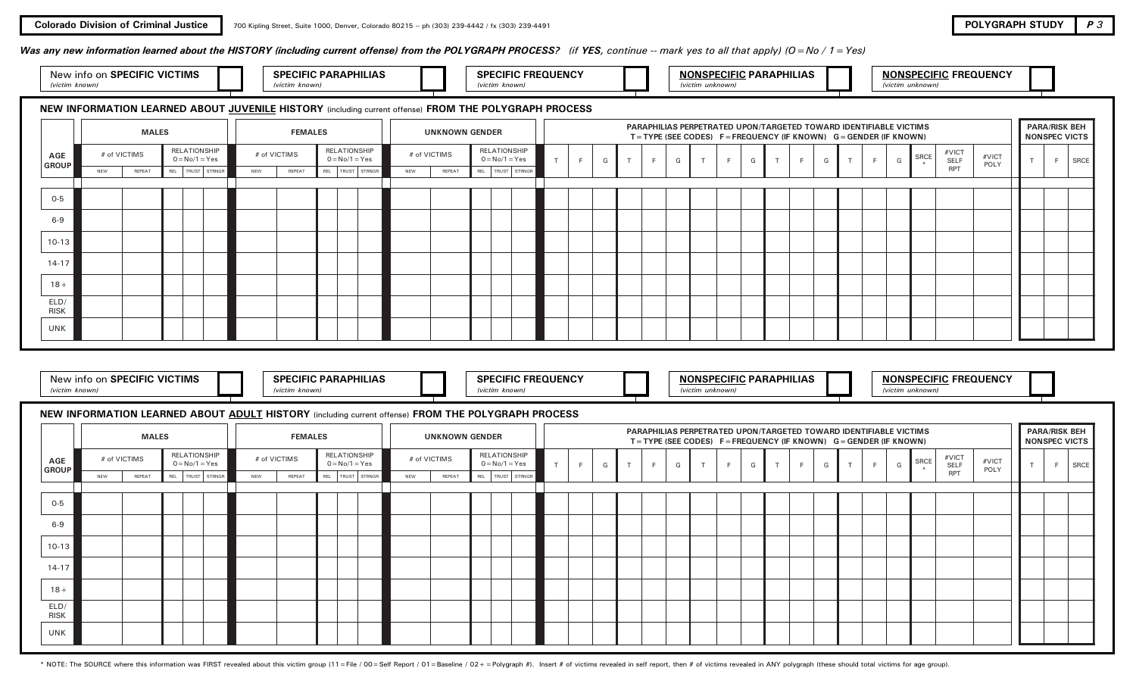## Was any new information learned about the HISTORY (including current offense) from the POLYGRAPH PROCESS? (if YES, continue -- mark yes to all that apply) ( $O = No / 1 = Yes$ )

| <b>SPECIFIC VICTIMS</b><br>new<br>.<br>m known. | <b>SPECIFIC PARAPHILIAS</b><br>$k$ nous | <b>SPECIFIC FREQUENCY</b><br>known<br>wiczim | <b>NONSPECIFIC PARAPHILIAS</b><br>$\mu$ <sub>n</sub> $\mu$ <sub>n</sub><br><u>ivictim</u> | <b>NONSPECIFIC FREQUENCY</b><br>unknown<br>ctin |
|-------------------------------------------------|-----------------------------------------|----------------------------------------------|-------------------------------------------------------------------------------------------|-------------------------------------------------|
|                                                 |                                         |                                              |                                                                                           |                                                 |

## NEW INFORMATION LEARNED ABOUT JUVENILE HISTORY (including current offense) FROM THE POLYGRAPH PROCESS

|                     |     |              | <b>MALES</b> |                                  |     | <b>FEMALES</b> |                                  |     | <b>UNKNOWN GENDER</b> |                                  |                      |   |   |        |   |   | PARAPHILIAS PERPETRATED UPON/TARGETED TOWARD IDENTIFIABLE VICTIMS<br>$T = TYPE$ (SEE CODES) F = FREQUENCY (IF KNOWN) G = GENDER (IF KNOWN) |   |        |              |   |               |                |   |      |               |               | NONSPEC VICTS | <b>PARA/RISK BEH</b> |      |
|---------------------|-----|--------------|--------------|----------------------------------|-----|----------------|----------------------------------|-----|-----------------------|----------------------------------|----------------------|---|---|--------|---|---|--------------------------------------------------------------------------------------------------------------------------------------------|---|--------|--------------|---|---------------|----------------|---|------|---------------|---------------|---------------|----------------------|------|
| AGE<br>GROUP        |     | # of VICTIMS |              | RELATIONSHIP<br>$0 = No/1 = Yes$ |     | # of VICTIMS   | RELATIONSHIP<br>$0 = No/1 = Yes$ |     | # of VICTIMS          | RELATIONSHIP<br>$0 = No/1 = Yes$ |                      | F | G | $\sim$ | F | G | $\tau$                                                                                                                                     | G | $\tau$ | $\mathbf{F}$ | G | $\rightarrow$ | $\blacksquare$ | G | SRCE | #VICT<br>SELF | #VICT<br>POLY |               | F                    | SRCE |
|                     | NEW | REPEAT       |              | REL   TRUST   STRNGR             | NEW | REPEAT         | REL TRUST STRNGR                 | NEW | REPEAT                |                                  | REL   TRUST   STRNGR |   |   |        |   |   |                                                                                                                                            |   |        |              |   |               |                |   |      | RPT           |               |               |                      |      |
|                     |     |              |              |                                  |     |                |                                  |     |                       |                                  |                      |   |   |        |   |   |                                                                                                                                            |   |        |              |   |               |                |   |      |               |               |               |                      |      |
| $O-5$               |     |              |              |                                  |     |                |                                  |     |                       |                                  |                      |   |   |        |   |   |                                                                                                                                            |   |        |              |   |               |                |   |      |               |               |               |                      |      |
| $6 - 9$             |     |              |              |                                  |     |                |                                  |     |                       |                                  |                      |   |   |        |   |   |                                                                                                                                            |   |        |              |   |               |                |   |      |               |               |               |                      |      |
| $10-13$             |     |              |              |                                  |     |                |                                  |     |                       |                                  |                      |   |   |        |   |   |                                                                                                                                            |   |        |              |   |               |                |   |      |               |               |               |                      |      |
| $14 - 17$           |     |              |              |                                  |     |                |                                  |     |                       |                                  |                      |   |   |        |   |   |                                                                                                                                            |   |        |              |   |               |                |   |      |               |               |               |                      |      |
| $18 +$              |     |              |              |                                  |     |                |                                  |     |                       |                                  |                      |   |   |        |   |   |                                                                                                                                            |   |        |              |   |               |                |   |      |               |               |               |                      |      |
| ELD/<br><b>RISK</b> |     |              |              |                                  |     |                |                                  |     |                       |                                  |                      |   |   |        |   |   |                                                                                                                                            |   |        |              |   |               |                |   |      |               |               |               |                      |      |
| <b>UNK</b>          |     |              |              |                                  |     |                |                                  |     |                       |                                  |                      |   |   |        |   |   |                                                                                                                                            |   |        |              |   |               |                |   |      |               |               |               |                      |      |

| on SPECIFIC VICTIMS<br>New into |  | PECIFIC PARAPHILIAS |  | <b>FREQUENCY</b><br><b>PECIFIC FT</b><br>ו חרי |  | <b>ECIFIC PARAPHILIAS</b><br><b>JNSPF</b> |  | COIF<br><b>IONSPECIF</b> |
|---------------------------------|--|---------------------|--|------------------------------------------------|--|-------------------------------------------|--|--------------------------|
| $k$ nown<br><b>AUVVII</b>       |  | knowr               |  | known                                          |  |                                           |  |                          |

SPECIFIC PARAPHILIAS  $\Box$  SPECIFIC FREQUENCY NONSPECIFIC PARAPHILIAS NONSPECIFIC FREQUENCY

## NEW INFORMATION LEARNED ABOUT ADULT HISTORY (including current offense) FROM THE POLYGRAPH PROCESS

|                     |            | <b>MALES</b> |                                  |            | <b>FEMALES</b> |                                  |            | <b>UNKNOWN GENDER</b> |                                  |                |   |    |   |   |   |   | PARAPHILIAS PERPETRATED UPON/TARGETED TOWARD IDENTIFIABLE VICTIMS<br>$T = TYPE$ (SEE CODES) $F = FREQUENCY$ (IF KNOWN) $G = GENDER$ (IF KNOWN) |   |   |              |                |   |      |                      |               | NONSPEC VICTS | <b>PARA/RISK BEH</b> |      |
|---------------------|------------|--------------|----------------------------------|------------|----------------|----------------------------------|------------|-----------------------|----------------------------------|----------------|---|----|---|---|---|---|------------------------------------------------------------------------------------------------------------------------------------------------|---|---|--------------|----------------|---|------|----------------------|---------------|---------------|----------------------|------|
| AGE<br><b>GROUP</b> |            | # of VICTIMS | RELATIONSHIP<br>$0 = No/1 = Yes$ |            | # of VICTIMS   | RELATIONSHIP<br>$0 = No/1 = Yes$ |            | # of VICTIMS          | RELATIONSHIP<br>$0 = No/1 = Yes$ | $\blacksquare$ | G | F. | G | T | F | G | -                                                                                                                                              | F | G | $\mathbf{r}$ | $\blacksquare$ | G | SRCE | #VICT<br><b>SELF</b> | #VICT<br>POLY | $\rightarrow$ | F.                   | SRCE |
|                     | <b>NEW</b> | REPEAT       | REL   TRUST   STRNGR             | <b>NEW</b> | REPEAT         | REL TRUST STRNGR                 | <b>NEW</b> | REPEAT                | REL   TRUST   STRNGR             |                |   |    |   |   |   |   |                                                                                                                                                |   |   |              |                |   |      | <b>RPT</b>           |               |               |                      |      |
|                     |            |              |                                  |            |                |                                  |            |                       |                                  |                |   |    |   |   |   |   |                                                                                                                                                |   |   |              |                |   |      |                      |               |               |                      |      |
| $O - 5$             |            |              |                                  |            |                |                                  |            |                       |                                  |                |   |    |   |   |   |   |                                                                                                                                                |   |   |              |                |   |      |                      |               |               |                      |      |
| $6 - 9$             |            |              |                                  |            |                |                                  |            |                       |                                  |                |   |    |   |   |   |   |                                                                                                                                                |   |   |              |                |   |      |                      |               |               |                      |      |
| $10-13$             |            |              |                                  |            |                |                                  |            |                       |                                  |                |   |    |   |   |   |   |                                                                                                                                                |   |   |              |                |   |      |                      |               |               |                      |      |
| $14-17$             |            |              |                                  |            |                |                                  |            |                       |                                  |                |   |    |   |   |   |   |                                                                                                                                                |   |   |              |                |   |      |                      |               |               |                      |      |
| $18 +$              |            |              |                                  |            |                |                                  |            |                       |                                  |                |   |    |   |   |   |   |                                                                                                                                                |   |   |              |                |   |      |                      |               |               |                      |      |
| ELD/<br><b>RISK</b> |            |              |                                  |            |                |                                  |            |                       |                                  |                |   |    |   |   |   |   |                                                                                                                                                |   |   |              |                |   |      |                      |               |               |                      |      |
| <b>UNK</b>          |            |              |                                  |            |                |                                  |            |                       |                                  |                |   |    |   |   |   |   |                                                                                                                                                |   |   |              |                |   |      |                      |               |               |                      |      |

\* NOTE: The SOURCE where this information was FIRST revealed about this victim group (11 = File / 00 = Self Report / 01 = Baseline / 02 + = Polygraph #). Insert # of victims revealed in self report, then # of victims revea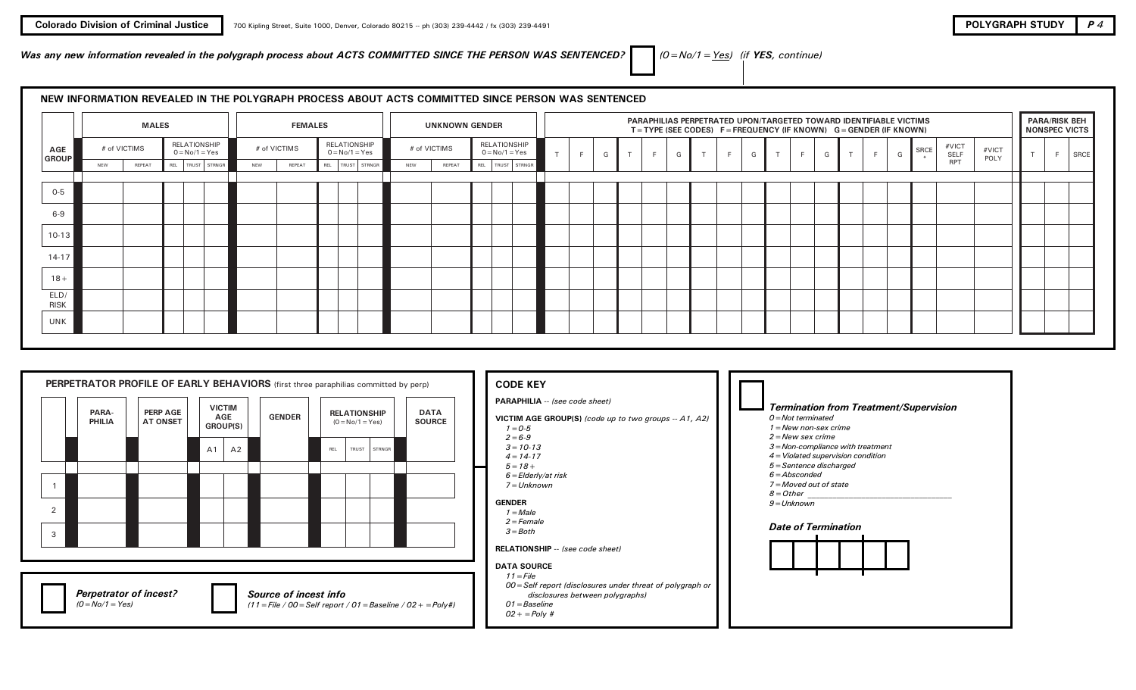Was any new information revealed in the polygraph process about ACTS COMMITTED SINCE THE PERSON WAS SENTENCED?  $\Box$   $(0 = No/1 = Yes)$  (if YES, continue)

# NEW INFORMATION REVEALED IN THE POLYGRAPH PROCESS ABOUT ACTS COMMITTED SINCE PERSON WAS SENTENCED

|                     |     | <b>MALES</b> |                                  |     | <b>FEMALES</b> |                                  |     | <b>UNKNOWN GENDER</b> |                                  |  |    |   |        |        |         |        |    | PARAPHILIAS PERPETRATED UPON/TARGETED TOWARD IDENTIFIABLE VICTIMS<br>$T = TYPE$ (SEE CODES) $F = FREQUENCY$ (IF KNOWN) $G = GENDER$ (IF KNOWN) |               |   |   |      |               |               | NONSPEC VICTS | <b>PARA/RISK BEH</b> |
|---------------------|-----|--------------|----------------------------------|-----|----------------|----------------------------------|-----|-----------------------|----------------------------------|--|----|---|--------|--------|---------|--------|----|------------------------------------------------------------------------------------------------------------------------------------------------|---------------|---|---|------|---------------|---------------|---------------|----------------------|
| AGE<br>GROUP        |     | # of VICTIMS | RELATIONSHIP<br>$0 = No/1 = Yes$ |     | # of VICTIMS   | RELATIONSHIP<br>$0 = No/1 = Yes$ |     | # of VICTIMS          | RELATIONSHIP<br>$0 = No/1 = Yes$ |  | E. | G | F<br>G | $\tau$ | E.<br>G | $\tau$ | E. | G                                                                                                                                              | $\rightarrow$ | F | G | SRCE | #VICT<br>SELF | #VICT<br>POLY |               | E.<br>SRCE           |
|                     | NEW | REPEAT       | REL   TRUST   STRNGR             | NEW | REPEAT         | REL   TRUST   STRNGR             | NEW | REPEAT                | REL TRUST STRNGR                 |  |    |   |        |        |         |        |    |                                                                                                                                                |               |   |   |      | <b>RPT</b>    |               |               |                      |
|                     |     |              |                                  |     |                |                                  |     |                       |                                  |  |    |   |        |        |         |        |    |                                                                                                                                                |               |   |   |      |               |               |               |                      |
| $O-5$               |     |              |                                  |     |                |                                  |     |                       |                                  |  |    |   |        |        |         |        |    |                                                                                                                                                |               |   |   |      |               |               |               |                      |
| $6 - 9$             |     |              |                                  |     |                |                                  |     |                       |                                  |  |    |   |        |        |         |        |    |                                                                                                                                                |               |   |   |      |               |               |               |                      |
| $10-13$             |     |              |                                  |     |                |                                  |     |                       |                                  |  |    |   |        |        |         |        |    |                                                                                                                                                |               |   |   |      |               |               |               |                      |
| $14-17$             |     |              |                                  |     |                |                                  |     |                       |                                  |  |    |   |        |        |         |        |    |                                                                                                                                                |               |   |   |      |               |               |               |                      |
| $18 +$              |     |              |                                  |     |                |                                  |     |                       |                                  |  |    |   |        |        |         |        |    |                                                                                                                                                |               |   |   |      |               |               |               |                      |
| ELD/<br><b>RISK</b> |     |              |                                  |     |                |                                  |     |                       |                                  |  |    |   |        |        |         |        |    |                                                                                                                                                |               |   |   |      |               |               |               |                      |
| UNK                 |     |              |                                  |     |                |                                  |     |                       |                                  |  |    |   |        |        |         |        |    |                                                                                                                                                |               |   |   |      |               |               |               |                      |

|                     |                 |                                    |                                              |                       | PERPETRATOR PROFILE OF EARLY BEHAVIORS (first three paraphilias committed by perp) |                              | <b>CODE KEY</b>                                                                                                                                                                                                                                                                                           |                                                                                                                                                                                                                                                                                                                                          |
|---------------------|-----------------|------------------------------------|----------------------------------------------|-----------------------|------------------------------------------------------------------------------------|------------------------------|-----------------------------------------------------------------------------------------------------------------------------------------------------------------------------------------------------------------------------------------------------------------------------------------------------------|------------------------------------------------------------------------------------------------------------------------------------------------------------------------------------------------------------------------------------------------------------------------------------------------------------------------------------------|
| $\overline{2}$<br>3 | PARA-<br>PHILIA | <b>PERP AGE</b><br><b>AT ONSET</b> | <b>VICTIM</b><br>AGE<br>GROUP(S)<br>A2<br>A1 | <b>GENDER</b>         | <b>RELATIONSHIP</b><br>$(0 = No/1 = Yes)$<br>TRUST STRNGR<br>REL                   | <b>DATA</b><br><b>SOURCE</b> | PARAPHILIA -- (see code sheet)<br>VICTIM AGE GROUP(S) (code up to two groups -- A1, A2)<br>$1 = 0.5$<br>$2 = 6-9$<br>$3 = 10 - 13$<br>$4 = 14 - 17$<br>$5 = 18 +$<br>$6 = E$ Iderly/at risk<br>7 = Unknown<br><b>GENDER</b><br>1 = Male<br>$2 = Female$<br>$3 = Both$<br>RELATIONSHIP -- (see code sheet) | <b>Termination from Treatment/Supervision</b><br>$0 = Not$ terminated<br>$1 =$ New non-sex crime<br>$2 =$ New sex crime<br>3 = Non-compliance with treatment<br>4 = Violated supervision condition<br>5 = Sentence discharged<br>$6 = Absconded$<br>7 = Moved out of state<br>$8$ = Other<br>$9$ = Unknown<br><b>Date of Termination</b> |
|                     | $(0=No/1=Yes)$  | <b>Perpetrator of incest?</b>      |                                              | Source of incest info | $(11 =$ File / 00 = Self report / 01 = Baseline / 02 + = Poly#)                    |                              | <b>DATA SOURCE</b><br>$11 =$ File<br>00 = Self report (disclosures under threat of polygraph or<br>disclosures between polygraphs)<br>$O1 = Baseline$<br>$02 + P_0/v$ #                                                                                                                                   |                                                                                                                                                                                                                                                                                                                                          |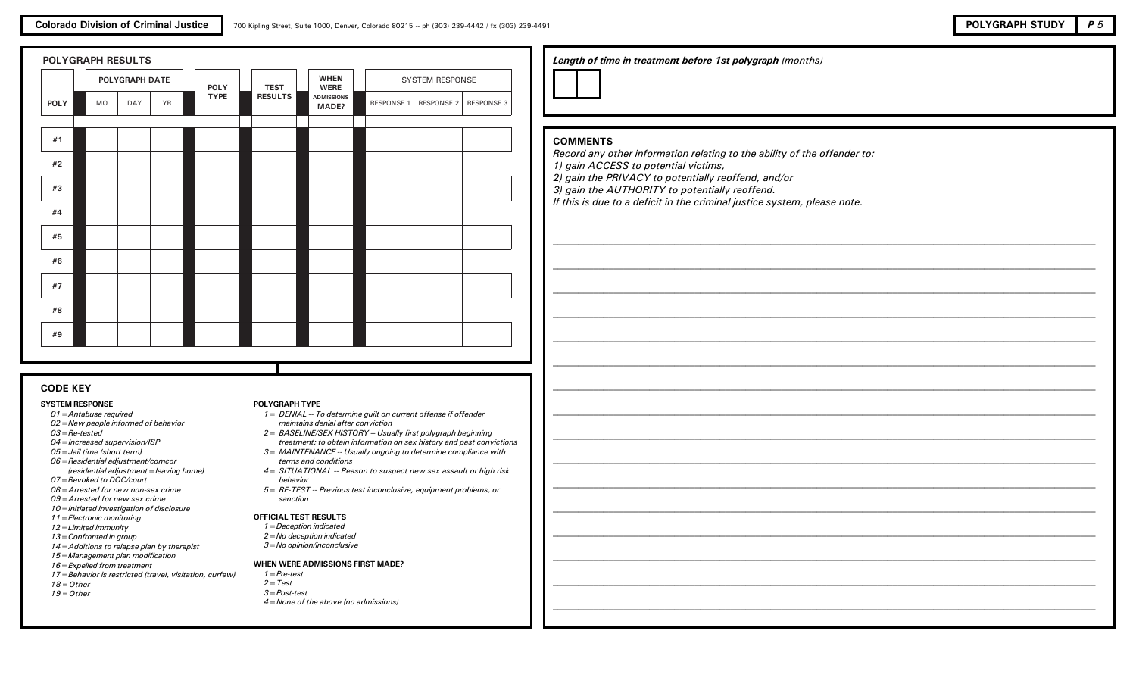

|             | POLYGRAPH DATE<br><b>YR</b><br><b>MO</b><br>DAY |  | <b>POLY</b> | <b>TEST</b>    | <b>WHEN</b><br><b>WERE</b> |                   | <b>SYSTEM RESPONSE</b> |            |
|-------------|-------------------------------------------------|--|-------------|----------------|----------------------------|-------------------|------------------------|------------|
| <b>POLY</b> |                                                 |  | <b>TYPE</b> | <b>RESULTS</b> | <b>ADMISSIONS</b><br>MADE? | <b>RESPONSE 1</b> | RESPONSE 2             | RESPONSE 3 |
| #1          |                                                 |  |             |                |                            |                   |                        |            |
| #2          |                                                 |  |             |                |                            |                   |                        |            |
| #3          |                                                 |  |             |                |                            |                   |                        |            |
| #4          |                                                 |  |             |                |                            |                   |                        |            |
| #5          |                                                 |  |             |                |                            |                   |                        |            |
| #6          |                                                 |  |             |                |                            |                   |                        |            |
| #7          |                                                 |  |             |                |                            |                   |                        |            |
| #8          |                                                 |  |             |                |                            |                   |                        |            |
| #9          |                                                 |  |             |                |                            |                   |                        |            |

## CODE KEY

#### SYSTEM RESPONSE

- 01=Antabuse required
- 02=New people informed of behavior
- 03=Re-tested
- 04=Increased supervision/ISP
- 05=Jail time (short term)
- 06=Residential adjustment/comcor (residential adjustment=leaving home)
- 07=Revoked to DOC/court
- 08=Arrested for new non-sex crime
- 09=Arrested for new sex crime
- 10=Initiated investigation of disclosure
- 11=Electronic monitoring
- 12=Limited immunity
- 13=Confronted in group
- 14=Additions to relapse plan by therapist
- 15=Management plan modification
- 16=Expelled from treatment
- 17=Behavior is restricted (travel, visitation, curfew)
- $18 = Other$  $19=Other$

#### treatment; to obtain information on sex history and past convictions 3 = MAINTENANCE -- Usually ongoing to determine compliance with

POLYGRAPH TYPE

terms and conditions 4= SITUATIONAL -- Reason to suspect new sex assault or high risk

2= BASELINE/SEX HISTORY -- Usually first polygraph beginning

1= DENIAL -- To determine guilt on current offense if offender

behavior

maintains denial after conviction

5= RE-TEST -- Previous test inconclusive, equipment problems, or sanction

### OFFICIAL TEST RESULTS

- 1=Deception indicated
- 2=No deception indicated
- 3=No opinion/inconclusive

#### WHEN WERE ADMISSIONS FIRST MADE?

- $1 = Pre-test$
- $2 = Test$
- 3=Post-test
- 4=None of the above (no admissions)

## Length of time in treatment before 1st polygraph (months)

## COMMENTS

Record any other information relating to the ability of the offender to: 1) gain ACCESS to potential victims,

2) gain the PRIVACY to potentially reoffend, and/or

3) gain the AUTHORITY to potentially reoffend.

If this is due to a deficit in the criminal justice system, please note.

 $\_$  . The contribution of the contribution of the contribution of the contribution of the contribution of the contribution of the contribution of the contribution of the contribution of the contribution of the contributio

\_\_\_\_\_\_\_\_\_\_\_\_\_\_\_\_\_\_\_\_\_\_\_\_\_\_\_\_\_\_\_\_\_\_\_\_\_\_\_\_\_\_\_\_\_\_\_\_\_\_\_\_\_\_\_\_\_\_\_\_\_\_\_\_\_\_\_\_\_\_\_\_\_\_\_\_\_\_\_\_\_\_\_\_\_\_\_\_\_\_\_\_\_\_\_\_\_\_\_\_\_\_\_\_\_\_\_

 $\_$  . The contribution of the contribution of the contribution of the contribution of the contribution of the contribution of the contribution of the contribution of the contribution of the contribution of the contributio

 $\_$  . The contribution of the contribution of the contribution of the contribution of the contribution of the contribution of the contribution of the contribution of the contribution of the contribution of the contributio

\_\_\_\_\_\_\_\_\_\_\_\_\_\_\_\_\_\_\_\_\_\_\_\_\_\_\_\_\_\_\_\_\_\_\_\_\_\_\_\_\_\_\_\_\_\_\_\_\_\_\_\_\_\_\_\_\_\_\_\_\_\_\_\_\_\_\_\_\_\_\_\_\_\_\_\_\_\_\_\_\_\_\_\_\_\_\_\_\_\_\_\_\_\_\_\_\_\_\_\_\_\_\_\_\_\_\_

\_\_\_\_\_\_\_\_\_\_\_\_\_\_\_\_\_\_\_\_\_\_\_\_\_\_\_\_\_\_\_\_\_\_\_\_\_\_\_\_\_\_\_\_\_\_\_\_\_\_\_\_\_\_\_\_\_\_\_\_\_\_\_\_\_\_\_\_\_\_\_\_\_\_\_\_\_\_\_\_\_\_\_\_\_\_\_\_\_\_\_\_\_\_\_\_\_\_\_\_\_\_\_\_\_\_\_

\_\_\_\_\_\_\_\_\_\_\_\_\_\_\_\_\_\_\_\_\_\_\_\_\_\_\_\_\_\_\_\_\_\_\_\_\_\_\_\_\_\_\_\_\_\_\_\_\_\_\_\_\_\_\_\_\_\_\_\_\_\_\_\_\_\_\_\_\_\_\_\_\_\_\_\_\_\_\_\_\_\_\_\_\_\_\_\_\_\_\_\_\_\_\_\_\_\_\_\_\_\_\_\_\_\_\_

 $\_$  . The contribution of the contribution of the contribution of the contribution of the contribution of the contribution of the contribution of the contribution of the contribution of the contribution of the contributio

\_\_\_\_\_\_\_\_\_\_\_\_\_\_\_\_\_\_\_\_\_\_\_\_\_\_\_\_\_\_\_\_\_\_\_\_\_\_\_\_\_\_\_\_\_\_\_\_\_\_\_\_\_\_\_\_\_\_\_\_\_\_\_\_\_\_\_\_\_\_\_\_\_\_\_\_\_\_\_\_\_\_\_\_\_\_\_\_\_\_\_\_\_\_\_\_\_\_\_\_\_\_\_\_\_\_\_

 $\_$  . The contribution of the contribution of the contribution of the contribution of the contribution of the contribution of the contribution of the contribution of the contribution of the contribution of the contributio

\_\_\_\_\_\_\_\_\_\_\_\_\_\_\_\_\_\_\_\_\_\_\_\_\_\_\_\_\_\_\_\_\_\_\_\_\_\_\_\_\_\_\_\_\_\_\_\_\_\_\_\_\_\_\_\_\_\_\_\_\_\_\_\_\_\_\_\_\_\_\_\_\_\_\_\_\_\_\_\_\_\_\_\_\_\_\_\_\_\_\_\_\_\_\_\_\_\_\_\_\_\_\_\_\_\_\_

\_\_\_\_\_\_\_\_\_\_\_\_\_\_\_\_\_\_\_\_\_\_\_\_\_\_\_\_\_\_\_\_\_\_\_\_\_\_\_\_\_\_\_\_\_\_\_\_\_\_\_\_\_\_\_\_\_\_\_\_\_\_\_\_\_\_\_\_\_\_\_\_\_\_\_\_\_\_\_\_\_\_\_\_\_\_\_\_\_\_\_\_\_\_\_\_\_\_\_\_\_\_\_\_\_\_\_

 $\_$  . The contribution of the contribution of the contribution of the contribution of the contribution of the contribution of the contribution of the contribution of the contribution of the contribution of the contributio

\_\_\_\_\_\_\_\_\_\_\_\_\_\_\_\_\_\_\_\_\_\_\_\_\_\_\_\_\_\_\_\_\_\_\_\_\_\_\_\_\_\_\_\_\_\_\_\_\_\_\_\_\_\_\_\_\_\_\_\_\_\_\_\_\_\_\_\_\_\_\_\_\_\_\_\_\_\_\_\_\_\_\_\_\_\_\_\_\_\_\_\_\_\_\_\_\_\_\_\_\_\_\_\_\_\_\_

 $\_$  . The contribution of the contribution of the contribution of the contribution of the contribution of the contribution of the contribution of the contribution of the contribution of the contribution of the contributio

\_\_\_\_\_\_\_\_\_\_\_\_\_\_\_\_\_\_\_\_\_\_\_\_\_\_\_\_\_\_\_\_\_\_\_\_\_\_\_\_\_\_\_\_\_\_\_\_\_\_\_\_\_\_\_\_\_\_\_\_\_\_\_\_\_\_\_\_\_\_\_\_\_\_\_\_\_\_\_\_\_\_\_\_\_\_\_\_\_\_\_\_\_\_\_\_\_\_\_\_\_\_\_\_\_\_\_